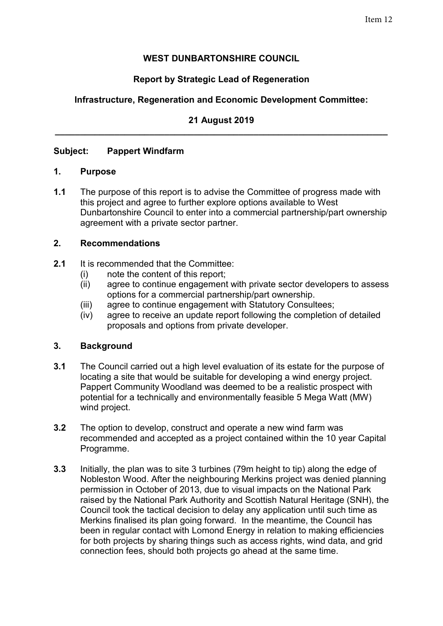# **WEST DUNBARTONSHIRE COUNCIL**

# **Report by Strategic Lead of Regeneration**

# **Infrastructure, Regeneration and Economic Development Committee:**

## **21 August 2019 \_\_\_\_\_\_\_\_\_\_\_\_\_\_\_\_\_\_\_\_\_\_\_\_\_\_\_\_\_\_\_\_\_\_\_\_\_\_\_\_\_\_\_\_\_\_\_\_\_\_\_\_\_\_\_\_\_\_\_\_\_\_\_\_\_\_\_**

## **Subject: Pappert Windfarm**

#### **1. Purpose**

**1.1** The purpose of this report is to advise the Committee of progress made with this project and agree to further explore options available to West Dunbartonshire Council to enter into a commercial partnership/part ownership agreement with a private sector partner.

## **2. Recommendations**

- **2.1** It is recommended that the Committee:
	- (i) note the content of this report;
	- (ii) agree to continue engagement with private sector developers to assess options for a commercial partnership/part ownership.
	- (iii) agree to continue engagement with Statutory Consultees;
	- (iv) agree to receive an update report following the completion of detailed proposals and options from private developer.

#### **3. Background**

- **3.1** The Council carried out a high level evaluation of its estate for the purpose of locating a site that would be suitable for developing a wind energy project. Pappert Community Woodland was deemed to be a realistic prospect with potential for a technically and environmentally feasible 5 Mega Watt (MW) wind project.
- **3.2** The option to develop, construct and operate a new wind farm was recommended and accepted as a project contained within the 10 year Capital Programme.
- **3.3** Initially, the plan was to site 3 turbines (79m height to tip) along the edge of Nobleston Wood. After the neighbouring Merkins project was denied planning permission in October of 2013, due to visual impacts on the National Park raised by the National Park Authority and Scottish Natural Heritage (SNH), the Council took the tactical decision to delay any application until such time as Merkins finalised its plan going forward. In the meantime, the Council has been in regular contact with Lomond Energy in relation to making efficiencies for both projects by sharing things such as access rights, wind data, and grid connection fees, should both projects go ahead at the same time.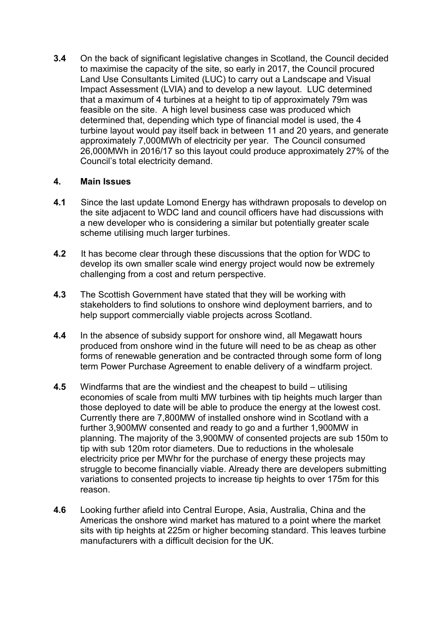**3.4** On the back of significant legislative changes in Scotland, the Council decided to maximise the capacity of the site, so early in 2017, the Council procured Land Use Consultants Limited (LUC) to carry out a Landscape and Visual Impact Assessment (LVIA) and to develop a new layout. LUC determined that a maximum of 4 turbines at a height to tip of approximately 79m was feasible on the site. A high level business case was produced which determined that, depending which type of financial model is used, the 4 turbine layout would pay itself back in between 11 and 20 years, and generate approximately 7,000MWh of electricity per year. The Council consumed 26,000MWh in 2016/17 so this layout could produce approximately 27% of the Council's total electricity demand.

## **4. Main Issues**

- **4.1** Since the last update Lomond Energy has withdrawn proposals to develop on the site adjacent to WDC land and council officers have had discussions with a new developer who is considering a similar but potentially greater scale scheme utilising much larger turbines.
- **4.2** It has become clear through these discussions that the option for WDC to develop its own smaller scale wind energy project would now be extremely challenging from a cost and return perspective.
- **4.3** The Scottish Government have stated that they will be working with stakeholders to find solutions to onshore wind deployment barriers, and to help support commercially viable projects across Scotland.
- **4.4** In the absence of subsidy support for onshore wind, all Megawatt hours produced from onshore wind in the future will need to be as cheap as other forms of renewable generation and be contracted through some form of long term Power Purchase Agreement to enable delivery of a windfarm project.
- **4.5** Windfarms that are the windiest and the cheapest to build utilising economies of scale from multi MW turbines with tip heights much larger than those deployed to date will be able to produce the energy at the lowest cost. Currently there are 7,800MW of installed onshore wind in Scotland with a further 3,900MW consented and ready to go and a further 1,900MW in planning. The majority of the 3,900MW of consented projects are sub 150m to tip with sub 120m rotor diameters. Due to reductions in the wholesale electricity price per MWhr for the purchase of energy these projects may struggle to become financially viable. Already there are developers submitting variations to consented projects to increase tip heights to over 175m for this reason.
- **4.6** Looking further afield into Central Europe, Asia, Australia, China and the Americas the onshore wind market has matured to a point where the market sits with tip heights at 225m or higher becoming standard. This leaves turbine manufacturers with a difficult decision for the UK.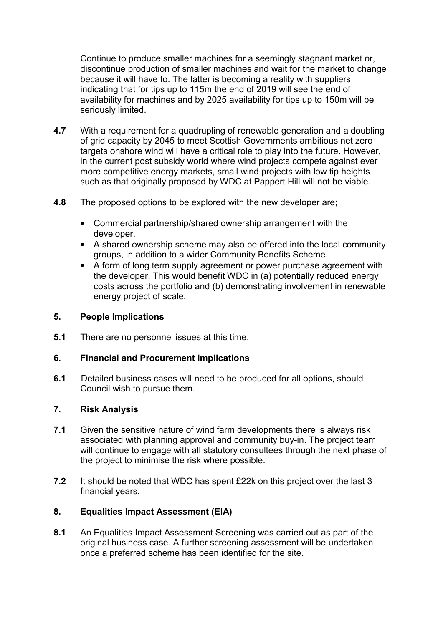Continue to produce smaller machines for a seemingly stagnant market or, discontinue production of smaller machines and wait for the market to change because it will have to. The latter is becoming a reality with suppliers indicating that for tips up to 115m the end of 2019 will see the end of availability for machines and by 2025 availability for tips up to 150m will be seriously limited.

- **4.7** With a requirement for a quadrupling of renewable generation and a doubling of grid capacity by 2045 to meet Scottish Governments ambitious net zero targets onshore wind will have a critical role to play into the future. However, in the current post subsidy world where wind projects compete against ever more competitive energy markets, small wind projects with low tip heights such as that originally proposed by WDC at Pappert Hill will not be viable.
- **4.8** The proposed options to be explored with the new developer are;
	- Commercial partnership/shared ownership arrangement with the developer.
	- A shared ownership scheme may also be offered into the local community groups, in addition to a wider Community Benefits Scheme.
	- A form of long term supply agreement or power purchase agreement with the developer. This would benefit WDC in (a) potentially reduced energy costs across the portfolio and (b) demonstrating involvement in renewable energy project of scale.

## **5. People Implications**

**5.1** There are no personnel issues at this time.

## **6. Financial and Procurement Implications**

**6.1** Detailed business cases will need to be produced for all options, should Council wish to pursue them.

## **7. Risk Analysis**

- **7.1** Given the sensitive nature of wind farm developments there is always risk associated with planning approval and community buy-in. The project team will continue to engage with all statutory consultees through the next phase of the project to minimise the risk where possible.
- **7.2** It should be noted that WDC has spent £22k on this project over the last 3 financial years.

# **8. Equalities Impact Assessment (EIA)**

**8.1** An Equalities Impact Assessment Screening was carried out as part of the original business case. A further screening assessment will be undertaken once a preferred scheme has been identified for the site.